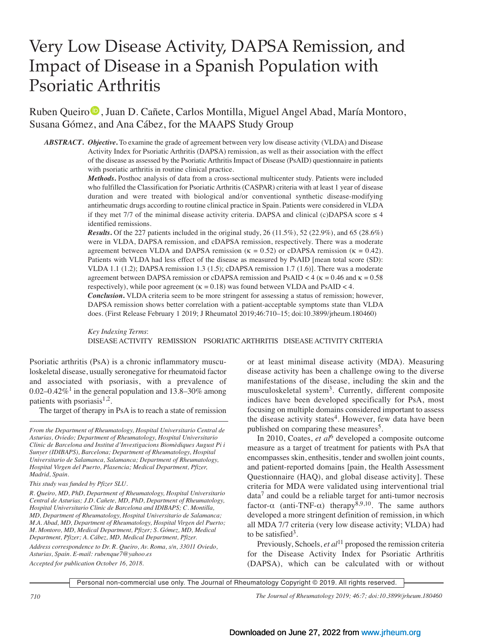# Very Low Disease Activity, DAPSA Remission, and Impact of Disease in a Spanish Population with Psoriatic Arthritis

Ruben Queiro<sup>®</sup>, Juan D. Cañete, Carlos Montilla, Miguel Angel Abad, María Montoro, Susana Gómez, and Ana Cábez, for the MAAPS Study Group

*ABSTRACT***.** *Objective***.** To examine the grade of agreement between very low disease activity (VLDA) and Disease Activity Index for Psoriatic Arthritis (DAPSA) remission, as well as their association with the effect of the disease as assessed by the Psoriatic Arthritis Impact of Disease (PsAID) questionnaire in patients with psoriatic arthritis in routine clinical practice.

> *Methods***.** Posthoc analysis of data from a cross-sectional multicenter study. Patients were included who fulfilled the Classification for Psoriatic Arthritis (CASPAR) criteria with at least 1 year of disease duration and were treated with biological and/or conventional synthetic disease-modifying antirheumatic drugs according to routine clinical practice in Spain. Patients were considered in VLDA if they met 7/7 of the minimal disease activity criteria. DAPSA and clinical (c)DAPSA score  $\leq 4$ identified remissions.

> *Results*. Of the 227 patients included in the original study, 26 (11.5%), 52 (22.9%), and 65 (28.6%) were in VLDA, DAPSA remission, and cDAPSA remission, respectively. There was a moderate agreement between VLDA and DAPSA remission ( $\kappa = 0.52$ ) or cDAPSA remission ( $\kappa = 0.42$ ). Patients with VLDA had less effect of the disease as measured by PsAID [mean total score (SD): VLDA 1.1 (1.2); DAPSA remission 1.3 (1.5); cDAPSA remission 1.7 (1.6)]. There was a moderate agreement between DAPSA remission or cDAPSA remission and PsAID  $<$  4 ( $\kappa$  = 0.46 and  $\kappa$  = 0.58 respectively), while poor agreement ( $\kappa = 0.18$ ) was found between VLDA and PsAID < 4.

> *Conclusion***.** VLDA criteria seem to be more stringent for assessing a status of remission; however, DAPSA remission shows better correlation with a patient-acceptable symptoms state than VLDA does. (First Release February 1 2019; J Rheumatol 2019;46:710–15; doi:10.3899/jrheum.180460)

> *Key Indexing Terms*: DISEASE ACTIVITY REMISSION PSORIATIC ARTHRITIS DISEASE ACTIVITY CRITERIA

Psoriatic arthritis (PsA) is a chronic inflammatory musculoskeletal disease, usually seronegative for rheumatoid factor and associated with psoriasis, with a prevalence of 0.02–0.42%<sup>1</sup> in the general population and 13.8–30% among patients with psoriasis $1,2$ .

The target of therapy in PsA is to reach a state of remission

*From the Department of Rheumatology, Hospital Universitario Central de Asturias, Oviedo; Department of Rheumatology, Hospital Universitario Clinic de Barcelona and Institut d'Investigacions Biomèdiques August Pi i Sunyer (IDIBAPS), Barcelona; Department of Rheumatology, Hospital Universitario de Salamanca, Salamanca; Department of Rheumatology, Hospital Virgen del Puerto, Plasencia; Medical Department, Pfizer, Madrid, Spain.* 

*R. Queiro, MD, PhD, Department of Rheumatology, Hospital Universitario Central de Asturias; J.D. Cañete, MD, PhD, Department of Rheumatology, Hospital Universitario Clinic de Barcelona and IDIBAPS; C. Montilla, MD, Department of Rheumatology, Hospital Universitario de Salamanca; M.A. Abad, MD, Department of Rheumatology, Hospital Virgen del Puerto; M. Montoro, MD, Medical Department, Pfizer; S. Gómez, MD, Medical Department, Pfizer; A. Cábez, MD, Medical Department, Pfizer.*

*Address correspondence to Dr. R. Queiro, Av. Roma, s/n, 33011 Oviedo, Asturias, Spain. E-mail: rubenque7@yahoo.es Accepted for publication October 16, 2018.*

or at least minimal disease activity (MDA). Measuring disease activity has been a challenge owing to the diverse manifestations of the disease, including the skin and the musculoskeletal system<sup>3</sup>. Currently, different composite indices have been developed specifically for PsA, most focusing on multiple domains considered important to assess the disease activity states<sup>4</sup>. However, few data have been published on comparing these measures<sup>5</sup>.

 In 2010, Coates, *et al*<sup>6</sup> developed a composite outcome measure as a target of treatment for patients with PsA that encompasses skin, enthesitis, tender and swollen joint counts, and patient-reported domains [pain, the Health Assessment Questionnaire (HAQ), and global disease activity]. These criteria for MDA were validated using interventional trial  $data<sup>7</sup>$  and could be a reliable target for anti-tumor necrosis factor- $\alpha$  (anti-TNF- $\alpha$ ) therapy 8,9,10. The same authors developed a more stringent definition of remission, in which all MDA 7/7 criteria (very low disease activity; VLDA) had to be satisfied<sup>3</sup>.

Previously, Schoels, *et al*<sup>11</sup> proposed the remission criteria for the Disease Activity Index for Psoriatic Arthritis (DAPSA), which can be calculated with or without

Personal non-commercial use only. The Journal of Rheumatology Copyright © 2019. All rights reserved.

*710 The Journal of Rheumatology 2019; 46:7; doi:10.3899/jrheum.180460*

*This study was funded by Pfizer SLU.*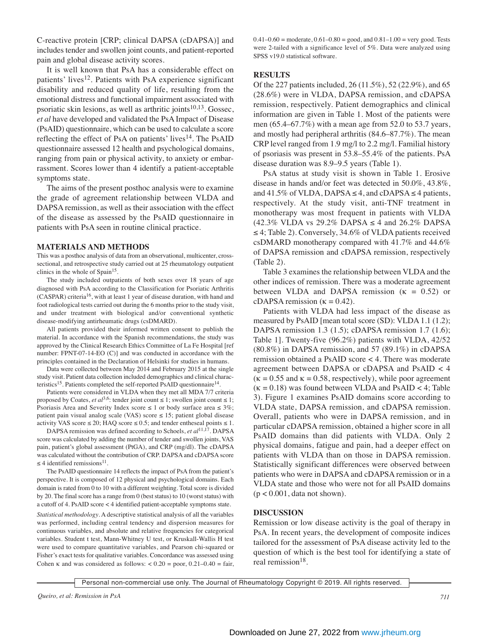C-reactive protein [CRP; clinical DAPSA (cDAPSA)] and includes tender and swollen joint counts, and patient-reported pain and global disease activity scores.

 It is well known that PsA has a considerable effect on patients' lives<sup>12</sup>. Patients with PsA experience significant disability and reduced quality of life, resulting from the emotional distress and functional impairment associated with psoriatic skin lesions, as well as arthritic joints $10,13$ . Gossec, *et al* have developed and validated the PsA Impact of Disease (PsAID) questionnaire, which can be used to calculate a score reflecting the effect of PsA on patients' lives<sup>14</sup>. The PsAID questionnaire assessed 12 health and psychological domains, ranging from pain or physical activity, to anxiety or embarrassment. Scores lower than 4 identify a patient-acceptable symptoms state.

 The aims of the present posthoc analysis were to examine the grade of agreement relationship between VLDA and DAPSA remission, as well as their association with the effect of the disease as assessed by the PsAID questionnaire in patients with PsA seen in routine clinical practice.

#### **MATERIALS AND METHODS**

This was a posthoc analysis of data from an observational, multicenter, crosssectional, and retrospective study carried out at 25 rheumatology outpatient clinics in the whole of  $Spin<sup>15</sup>$ .

 The study included outpatients of both sexes over 18 years of age diagnosed with PsA according to the Classification for Psoriatic Arthritis (CASPAR) criteria16, with at least 1 year of disease duration, with hand and foot radiological tests carried out during the 6 months prior to the study visit, and under treatment with biological and/or conventional synthetic disease-modifying antirheumatic drugs (csDMARD).

 All patients provided their informed written consent to publish the material. In accordance with the Spanish recommendations, the study was approved by the Clinical Research Ethics Committee of La Fe Hospital [ref number: FPNT-07-14-EO (C)] and was conducted in accordance with the principles contained in the Declaration of Helsinki for studies in humans.

 Data were collected between May 2014 and February 2015 at the single study visit. Patient data collection included demographics and clinical characteristics<sup>15</sup>. Patients completed the self-reported PsAID questionnaire<sup>14</sup>.

 Patients were considered in VLDA when they met all MDA 7/7 criteria proposed by Coates, *et al*<sup>3,6</sup>: tender joint count ≤ 1; swollen joint count ≤ 1; Psoriasis Area and Severity Index score  $\leq 1$  or body surface area  $\leq 3\%$ ; patient pain visual analog scale (VAS) score ≤ 15; patient global disease activity VAS score  $\leq 20$ ; HAQ score  $\leq 0.5$ ; and tender entheseal points  $\leq 1$ .

 DAPSA remission was defined according to Schoels, *et al*11,17. DAPSA score was calculated by adding the number of tender and swollen joints, VAS pain, patient's global assessment (PtGA), and CRP (mg/dl). The cDAPSA was calculated without the contribution of CRP. DAPSA and cDAPSA score  $\leq$  4 identified remissions<sup>11</sup>.

 The PsAID questionnaire 14 reflects the impact of PsA from the patient's perspective. It is composed of 12 physical and psychological domains. Each domain is rated from 0 to 10 with a different weighting. Total score is divided by 20. The final score has a range from 0 (best status) to 10 (worst status) with a cutoff of 4. PsAID score < 4 identified patient-acceptable symptoms state. *Statistical methodology*. A descriptive statistical analysis of all the variables was performed, including central tendency and dispersion measures for continuous variables, and absolute and relative frequencies for categorical variables. Student t test, Mann-Whitney U test, or Kruskall-Wallis H test were used to compare quantitative variables, and Pearson chi-squared or Fisher's exact tests for qualitative variables. Concordance was assessed using Cohen  $\kappa$  and was considered as follows:  $< 0.20 =$  poor,  $0.21 - 0.40 =$  fair,  $0.41-0.60$  = moderate,  $0.61-0.80$  = good, and  $0.81-1.00$  = very good. Tests were 2-tailed with a significance level of 5%. Data were analyzed using SPSS v19.0 statistical software.

#### **RESULTS**

Of the 227 patients included, 26 (11.5%), 52 (22.9%), and 65 (28.6%) were in VLDA, DAPSA remission, and cDAPSA remission, respectively. Patient demographics and clinical information are given in Table 1. Most of the patients were men (65.4–67.7%) with a mean age from 52.0 to 53.7 years, and mostly had peripheral arthritis (84.6–87.7%). The mean CRP level ranged from 1.9 mg/l to 2.2 mg/l. Familial history of psoriasis was present in 53.8–55.4% of the patients. PsA disease duration was 8.9–9.5 years (Table 1).

 PsA status at study visit is shown in Table 1. Erosive disease in hands and/or feet was detected in 50.0%, 43.8%, and 41.5% of VLDA, DAPSA  $\leq$  4, and cDAPSA  $\leq$  4 patients, respectively. At the study visit, anti-TNF treatment in monotherapy was most frequent in patients with VLDA (42.3% VLDA vs 29.2% DAPSA ≤ 4 and 26.2% DAPSA ≤ 4; Table 2). Conversely, 34.6% of VLDA patients received csDMARD monotherapy compared with 41.7% and 44.6% of DAPSA remission and cDAPSA remission, respectively (Table 2).

 Table 3 examines the relationship between VLDA and the other indices of remission. There was a moderate agreement between VLDA and DAPSA remission ( $\kappa = 0.52$ ) or cDAPSA remission ( $\kappa = 0.42$ ).

 Patients with VLDA had less impact of the disease as measured by PsAID [mean total score (SD): VLDA 1.1 (1.2); DAPSA remission 1.3 (1.5); cDAPSA remission 1.7 (1.6); Table 1]. Twenty-five (96.2%) patients with VLDA, 42/52 (80.8%) in DAPSA remission, and 57 (89.1%) in cDAPSA remission obtained a PsAID score < 4. There was moderate agreement between DAPSA or cDAPSA and PsAID < 4  $(k = 0.55$  and  $k = 0.58$ , respectively), while poor agreement  $(k = 0.18)$  was found between VLDA and PsAID < 4; Table 3). Figure 1 examines PsAID domains score according to VLDA state, DAPSA remission, and cDAPSA remission. Overall, patients who were in DAPSA remission, and in particular cDAPSA remission, obtained a higher score in all PsAID domains than did patients with VLDA. Only 2 physical domains, fatigue and pain, had a deeper effect on patients with VLDA than on those in DAPSA remission. Statistically significant differences were observed between patients who were in DAPSA and cDAPSA remission or in a VLDA state and those who were not for all PsAID domains  $(p < 0.001$ , data not shown).

#### **DISCUSSION**

Remission or low disease activity is the goal of therapy in PsA. In recent years, the development of composite indices tailored for the assessment of PsA disease activity led to the question of which is the best tool for identifying a state of real remission<sup>18</sup>.

Personal non-commercial use only. The Journal of Rheumatology Copyright © 2019. All rights reserved.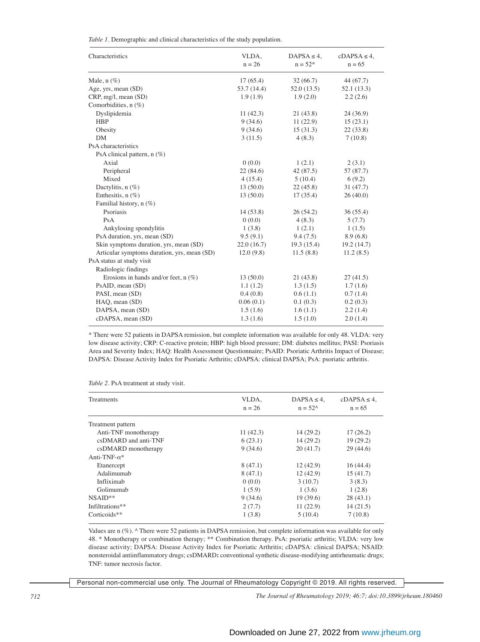*Table 1*. Demographic and clinical characteristics of the study population.

| Characteristics                             | VLDA,       | $DAPSA \leq 4$ , | $cDAPSA \leq 4$ , |
|---------------------------------------------|-------------|------------------|-------------------|
|                                             | $n = 26$    | $n = 52*$        | $n = 65$          |
| Male, $n$ $(\%)$                            | 17(65.4)    | 32(66.7)         | 44 (67.7)         |
| Age, yrs, mean (SD)                         | 53.7 (14.4) | 52.0(13.5)       | 52.1(13.3)        |
| CRP, mg/l, mean (SD)                        | 1.9(1.9)    | 1.9(2.0)         | 2.2(2.6)          |
| Comorbidities, n (%)                        |             |                  |                   |
| Dyslipidemia                                | 11(42.3)    | 21(43.8)         | 24(36.9)          |
| <b>HBP</b>                                  | 9(34.6)     | 11(22.9)         | 15(23.1)          |
| Obesity                                     | 9(34.6)     | 15(31.3)         | 22(33.8)          |
| <b>DM</b>                                   | 3(11.5)     | 4(8.3)           | 7(10.8)           |
| PsA characteristics                         |             |                  |                   |
| PsA clinical pattern, $n$ (%)               |             |                  |                   |
| Axial                                       | 0(0.0)      | 1(2.1)           | 2(3.1)            |
| Peripheral                                  | 22(84.6)    | 42 (87.5)        | 57 (87.7)         |
| Mixed                                       | 4(15.4)     | 5(10.4)          | 6(9.2)            |
| Dactylitis, $n$ (%)                         | 13(50.0)    | 22(45.8)         | 31(47.7)          |
| Enthesitis, $n$ (%)                         | 13(50.0)    | 17(35.4)         | 26(40.0)          |
| Familial history, $n$ (%)                   |             |                  |                   |
| Psoriasis                                   | 14 (53.8)   | 26(54.2)         | 36 (55.4)         |
| PsA                                         | 0(0.0)      | 4(8.3)           | 5(7.7)            |
| Ankylosing spondylitis                      | 1(3.8)      | 1(2.1)           | 1(1.5)            |
| PsA duration, yrs, mean (SD)                | 9.5(9.1)    | 9.4(7.5)         | 8.9(6.8)          |
| Skin symptoms duration, yrs, mean (SD)      | 22.0(16.7)  | 19.3 (15.4)      | 19.2(14.7)        |
| Articular symptoms duration, yrs, mean (SD) | 12.0(9.8)   | 11.5(8.8)        | 11.2(8.5)         |
| PsA status at study visit                   |             |                  |                   |
| Radiologic findings                         |             |                  |                   |
| Erosions in hands and/or feet, $n$ (%)      | 13(50.0)    | 21(43.8)         | 27(41.5)          |
| PsAID, mean (SD)                            | 1.1(1.2)    | 1.3(1.5)         | 1.7(1.6)          |
| PASI, mean (SD)                             | 0.4(0.8)    | 0.6(1.1)         | 0.7(1.4)          |
| HAQ, mean (SD)                              | 0.06(0.1)   | 0.1(0.3)         | 0.2(0.3)          |
| DAPSA, mean (SD)                            | 1.5(1.6)    | 1.6(1.1)         | 2.2(1.4)          |
| cDAPSA, mean (SD)                           | 1.3(1.6)    | 1.5(1.0)         | 2.0(1.4)          |

\* There were 52 patients in DAPSA remission, but complete information was available for only 48. VLDA: very low disease activity; CRP: C-reactive protein; HBP: high blood pressure; DM: diabetes mellitus; PASI: Psoriasis Area and Severity Index; HAQ: Health Assessment Questionnaire; PsAID: Psoriatic Arthritis Impact of Disease; DAPSA: Disease Activity Index for Psoriatic Arthritis; cDAPSA: clinical DAPSA; PsA: psoriatic arthritis.

*Table 2*. PsA treatment at study visit.

| Treatments           | VLDA,<br>$n = 26$ | $DAPS A \leq 4$ ,<br>$n = 52^{\circ}$ | $cDAPSA \leq 4$ ,<br>$n = 65$ |
|----------------------|-------------------|---------------------------------------|-------------------------------|
|                      |                   |                                       |                               |
| Treatment pattern    |                   |                                       |                               |
| Anti-TNF monotherapy | 11(42.3)          | 14(29.2)                              | 17(26.2)                      |
| csDMARD and anti-TNF | 6(23.1)           | 14(29.2)                              | 19(29.2)                      |
| csDMARD monotherapy  | 9(34.6)           | 20(41.7)                              | 29(44.6)                      |
| Anti-TNF- $\alpha^*$ |                   |                                       |                               |
| Etanercept           | 8(47.1)           | 12(42.9)                              | 16(44.4)                      |
| Adalimumah           | 8(47.1)           | 12(42.9)                              | 15(41.7)                      |
| Infliximab           | 0(0.0)            | 3(10.7)                               | 3(8.3)                        |
| Golimumab            | 1(5.9)            | 1(3.6)                                | 1(2.8)                        |
| $NSAID**$            | 9(34.6)           | 19(39.6)                              | 28(43.1)                      |
| Infiltrations**      | 2(7.7)            | 11(22.9)                              | 14(21.5)                      |
| Corticoids**         | 1(3.8)            | 5(10.4)                               | 7(10.8)                       |

Values are n (%). ^ There were 52 patients in DAPSA remission, but complete information was available for only 48. \* Monotherapy or combination therapy; \*\* Combination therapy. PsA: psoriatic arthritis; VLDA: very low disease activity; DAPSA: Disease Activity Index for Psoriatic Arthritis; cDAPSA: clinical DAPSA; NSAID: nonsteroidal antiinflammatory drugs; csDMARD**:** conventional synthetic disease-modifying antirheumatic drugs; TNF: tumor necrosis factor.

Personal non-commercial use only. The Journal of Rheumatology Copyright © 2019. All rights reserved.

*712 The Journal of Rheumatology 2019; 46:7; doi:10.3899/jrheum.180460*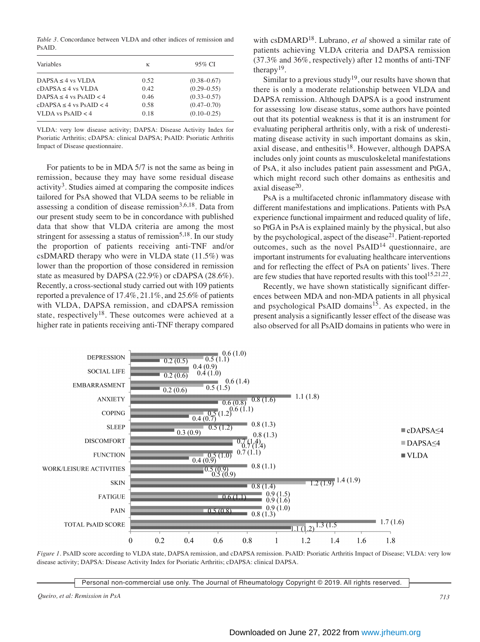*Table 3*. Concordance between VLDA and other indices of remission and PsAID.

| Variables                     | К    | 95% CI          |
|-------------------------------|------|-----------------|
| $DAPSA \leq 4$ vs VLDA        | 0.52 | $(0.38 - 0.67)$ |
| $cDAPSA < 4$ vs VLDA          | 0.42 | $(0.29 - 0.55)$ |
| DAPSA < 4 vs $PsAID < 4$      | 0.46 | $(0.33 - 0.57)$ |
| $cDAPSA \le 4$ vs $PsAID < 4$ | 0.58 | $(0.47 - 0.70)$ |
| VLDA vs $PsAID < 4$           | 0.18 | $(0.10 - 0.25)$ |

VLDA: very low disease activity; DAPSA: Disease Activity Index for Psoriatic Arthritis; cDAPSA: clinical DAPSA; PsAID: Psoriatic Arthritis Impact of Disease questionnaire.

 For patients to be in MDA 5/7 is not the same as being in remission, because they may have some residual disease  $\arcsin(3^3)$ . Studies aimed at comparing the composite indices tailored for PsA showed that VLDA seems to be reliable in assessing a condition of disease remission<sup>3,6,18</sup>. Data from our present study seem to be in concordance with published data that show that VLDA criteria are among the most stringent for assessing a status of remission<sup>5,18</sup>. In our study the proportion of patients receiving anti-TNF and/or csDMARD therapy who were in VLDA state (11.5%) was lower than the proportion of those considered in remission state as measured by DAPSA (22.9%) or cDAPSA (28.6%). Recently, a cross-sectional study carried out with 109 patients reported a prevalence of 17.4%, 21.1%, and 25.6% of patients with VLDA, DAPSA remission, and cDAPSA remission state, respectively<sup>18</sup>. These outcomes were achieved at a higher rate in patients receiving anti-TNF therapy compared with csDMARD18. Lubrano, *et al* showed a similar rate of patients achieving VLDA criteria and DAPSA remission (37.3% and 36%, respectively) after 12 months of anti-TNF therapy<sup>19</sup>.

Similar to a previous study<sup>19</sup>, our results have shown that there is only a moderate relationship between VLDA and DAPSA remission. Although DAPSA is a good instrument for assessing low disease status, some authors have pointed out that its potential weakness is that it is an instrument for evaluating peripheral arthritis only, with a risk of underestimating disease activity in such important domains as skin, axial disease, and enthesitis<sup>18</sup>. However, although DAPSA includes only joint counts as musculoskeletal manifestations of PsA, it also includes patient pain assessment and PtGA, which might record such other domains as enthesitis and axial disease<sup>20</sup>.

 PsA is a multifaceted chronic inflammatory disease with different manifestations and implications. Patients with PsA experience functional impairment and reduced quality of life, so PtGA in PsA is explained mainly by the physical, but also by the psychological, aspect of the disease<sup>21</sup>. Patient-reported outcomes, such as the novel  $PsAID<sup>14</sup>$  questionnaire, are important instruments for evaluating healthcare interventions and for reflecting the effect of PsA on patients' lives. There are few studies that have reported results with this tool<sup>15,21,22</sup>.

 Recently, we have shown statistically significant differences between MDA and non-MDA patients in all physical and psychological PsAID domains<sup>15</sup>. As expected, in the present analysis a significantly lesser effect of the disease was also observed for all PsAID domains in patients who were in



*Figure 1*. PsAID score according to VLDA state, DAPSA remission, and cDAPSA remission. PsAID: Psoriatic Arthritis Impact of Disease; VLDA: very low disease activity; DAPSA: Disease Activity Index for Psoriatic Arthritis; cDAPSA: clinical DAPSA.

Personal non-commercial use only. The Journal of Rheumatology Copyright © 2019. All rights reserved.

*Queiro, et al: Remission in PsA 713*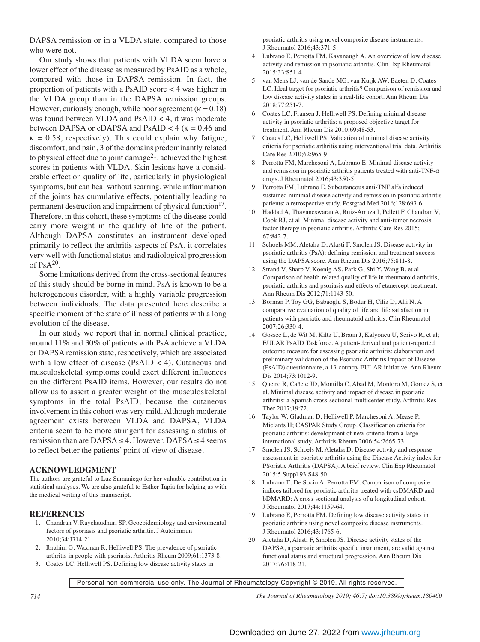DAPSA remission or in a VLDA state, compared to those who were not.

 Our study shows that patients with VLDA seem have a lower effect of the disease as measured by PsAID as a whole, compared with those in DAPSA remission. In fact, the proportion of patients with a PsAID score < 4 was higher in the VLDA group than in the DAPSA remission groups. However, curiously enough, while poor agreement ( $\kappa = 0.18$ ) was found between VLDA and PsAID < 4, it was moderate between DAPSA or cDAPSA and PsAID  $<$  4 ( $\kappa$  = 0.46 and  $\kappa = 0.58$ , respectively). This could explain why fatigue, discomfort, and pain, 3 of the domains predominantly related to physical effect due to joint damage<sup>21</sup>, achieved the highest scores in patients with VLDA. Skin lesions have a considerable effect on quality of life, particularly in physiological symptoms, but can heal without scarring, while inflammation of the joints has cumulative effects, potentially leading to permanent destruction and impairment of physical function<sup>17</sup>. Therefore, in this cohort, these symptoms of the disease could carry more weight in the quality of life of the patient. Although DAPSA constitutes an instrument developed primarily to reflect the arthritis aspects of PsA, it correlates very well with functional status and radiological progression of  $PsA^{20}$ .

 Some limitations derived from the cross-sectional features of this study should be borne in mind. PsA is known to be a heterogeneous disorder, with a highly variable progression between individuals. The data presented here describe a specific moment of the state of illness of patients with a long evolution of the disease.

 In our study we report that in normal clinical practice, around 11% and 30% of patients with PsA achieve a VLDA or DAPSA remission state, respectively, which are associated with a low effect of disease (PsAID < 4). Cutaneous and musculoskeletal symptoms could exert different influences on the different PsAID items. However, our results do not allow us to assert a greater weight of the musculoskeletal symptoms in the total PsAID, because the cutaneous involvement in this cohort was very mild. Although moderate agreement exists between VLDA and DAPSA, VLDA criteria seem to be more stringent for assessing a status of remission than are DAPSA  $\leq$  4. However, DAPSA  $\leq$  4 seems to reflect better the patients' point of view of disease.

#### **ACKNOWLEDGMENT**

The authors are grateful to Luz Samaniego for her valuable contribution in statistical analyses. We are also grateful to Esther Tapia for helping us with the medical writing of this manuscript.

### **REFERENCES**

- 1. Chandran V, Raychaudhuri SP. Geoepidemiology and environmental factors of psoriasis and psoriatic arthritis. J Autoimmun 2010;34:J314-21.
- 2. Ibrahim G, Waxman R, Helliwell PS. The prevalence of psoriatic arthritis in people with psoriasis. Arthritis Rheum 2009;61:1373-8.
- 3. Coates LC, Helliwell PS. Defining low disease activity states in

psoriatic arthritis using novel composite disease instruments. J Rheumatol 2016;43:371-5.

- 4. Lubrano E, Perrotta FM, Kavanaugh A. An overview of low disease activity and remission in psoriatic arthritis. Clin Exp Rheumatol 2015;33:S51-4.
- 5. van Mens LJ, van de Sande MG, van Kuijk AW, Baeten D, Coates LC. Ideal target for psoriatic arthritis? Comparison of remission and low disease activity states in a real-life cohort. Ann Rheum Dis 2018;77:251-7.
- 6. Coates LC, Fransen J, Helliwell PS. Defining minimal disease activity in psoriatic arthritis: a proposed objective target for treatment. Ann Rheum Dis 2010;69:48-53.
- 7. Coates LC, Helliwell PS. Validation of minimal disease activity criteria for psoriatic arthritis using interventional trial data. Arthritis Care Res 2010;62:965-9.
- 8. Perrotta FM, Marchesoni A, Lubrano E. Minimal disease activity and remission in psoriatic arthritis patients treated with anti-TNF- $\alpha$ drugs. J Rheumatol 2016;43:350-5.
- 9. Perrotta FM, Lubrano E. Subcutaneous anti-TNF alfa induced sustained minimal disease activity and remission in psoriatic arthritis patients: a retrospective study. Postgrad Med 2016;128:693-6.
- 10. Haddad A, Thavaneswaran A, Ruiz-Arruza I, Pellett F, Chandran V, Cook RJ, et al. Minimal disease activity and anti-tumor necrosis factor therapy in psoriatic arthritis. Arthritis Care Res 2015; 67:842-7.
- 11. Schoels MM, Aletaha D, Alasti F, Smolen JS. Disease activity in psoriatic arthritis (PsA): defining remission and treatment success using the DAPSA score. Ann Rheum Dis 2016;75:811-8.
- 12. Strand V, Sharp V, Koenig AS, Park G, Shi Y, Wang B, et al. Comparison of health-related quality of life in rheumatoid arthritis, psoriatic arthritis and psoriasis and effects of etanercept treatment. Ann Rheum Dis 2012;71:1143-50.
- 13. Borman P, Toy GG, Babaoglu S, Bodur H, Ciliz D, Alli N. A comparative evaluation of quality of life and life satisfaction in patients with psoriatic and rheumatoid arthritis. Clin Rheumatol 2007;26:330-4.
- 14. Gossec L, de Wit M, Kiltz U, Braun J, Kalyoncu U, Scrivo R, et al; EULAR PsAID Taskforce. A patient-derived and patient-reported outcome measure for assessing psoriatic arthritis: elaboration and preliminary validation of the Psoriatic Arthritis Impact of Disease (PsAID) questionnaire, a 13-country EULAR initiative. Ann Rheum Dis 2014;73:1012-9.
- 15. Queiro R, Cañete JD, Montilla C, Abad M, Montoro M, Gomez S, et al. Minimal disease activity and impact of disease in psoriatic arthritis: a Spanish cross-sectional multicenter study. Arthritis Res Ther 2017;19:72.
- 16. Taylor W, Gladman D, Helliwell P, Marchesoni A, Mease P, Mielants H; CASPAR Study Group. Classification criteria for psoriatic arthritis: development of new criteria from a large international study. Arthritis Rheum 2006;54:2665-73.
- 17. Smolen JS, Schoels M, Aletaha D. Disease activity and response assessment in psoriatic arthritis using the Disease Activity index for PSoriatic Arthritis (DAPSA). A brief review. Clin Exp Rheumatol 2015;5 Suppl 93:S48-50.
- 18. Lubrano E, De Socio A, Perrotta FM. Comparison of composite indices tailored for psoriatic arthritis treated with csDMARD and bDMARD: A cross-sectional analysis of a longitudinal cohort. J Rheumatol 2017;44:1159-64.
- 19. Lubrano E, Perrotta FM. Defining low disease activity states in psoriatic arthritis using novel composite disease instruments. J Rheumatol 2016;43:1765-6.
- 20. Aletaha D, Alasti F, Smolen JS. Disease activity states of the DAPSA, a psoriatic arthritis specific instrument, are valid against functional status and structural progression. Ann Rheum Dis 2017;76:418-21.

Personal non-commercial use only. The Journal of Rheumatology Copyright © 2019. All rights reserved.

*714 The Journal of Rheumatology 2019; 46:7; doi:10.3899/jrheum.180460*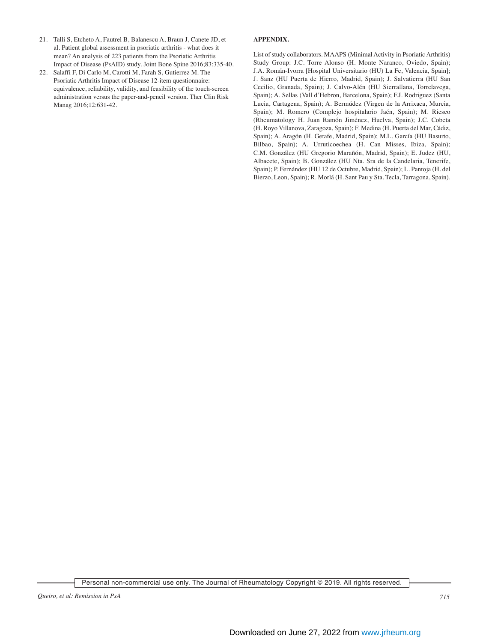- 21. Talli S, Etcheto A, Fautrel B, Balanescu A, Braun J, Canete JD, et al. Patient global assessment in psoriatic arthritis - what does it mean? An analysis of 223 patients from the Psoriatic Arthritis Impact of Disease (PsAID) study. Joint Bone Spine 2016;83:335-40.
- 22. Salaffi F, Di Carlo M, Carotti M, Farah S, Gutierrez M. The Psoriatic Arthritis Impact of Disease 12-item questionnaire: equivalence, reliability, validity, and feasibility of the touch-screen administration versus the paper-and-pencil version. Ther Clin Risk Manag 2016;12:631-42.

#### **APPENDIX.**

List of study collaborators. MAAPS (Minimal Activity in Psoriatic Arthritis) Study Group: J.C. Torre Alonso (H. Monte Naranco, Oviedo, Spain); J.A. Román-Ivorra [Hospital Universitario (HU) La Fe, Valencia, Spain]; J. Sanz (HU Puerta de Hierro, Madrid, Spain); J. Salvatierra (HU San Cecilio, Granada, Spain); J. Calvo-Alén (HU Sierrallana, Torrelavega, Spain); A. Sellas (Vall d'Hebron, Barcelona, Spain); F.J. Rodriguez (Santa Lucia, Cartagena, Spain); A. Bermúdez (Virgen de la Arrixaca, Murcia, Spain); M. Romero (Complejo hospitalario Jaén, Spain); M. Riesco (Rheumatology H. Juan Ramón Jiménez, Huelva, Spain); J.C. Cobeta (H. Royo Villanova, Zaragoza, Spain); F. Medina (H. Puerta del Mar, Cádiz, Spain); A. Aragón (H. Getafe, Madrid, Spain); M.L. García (HU Basurto, Bilbao, Spain); A. Urruticoechea (H. Can Misses, Ibiza, Spain); C.M. González (HU Gregorio Marañón, Madrid, Spain); E. Judez (HU, Albacete, Spain); B. González (HU Nta. Sra de la Candelaria, Tenerife, Spain); P. Fernández (HU 12 de Octubre, Madrid, Spain); L. Pantoja (H. del Bierzo, Leon, Spain); R. Morlá (H. Sant Pau y Sta. Tecla, Tarragona, Spain).

Personal non-commercial use only. The Journal of Rheumatology Copyright © 2019. All rights reserved.